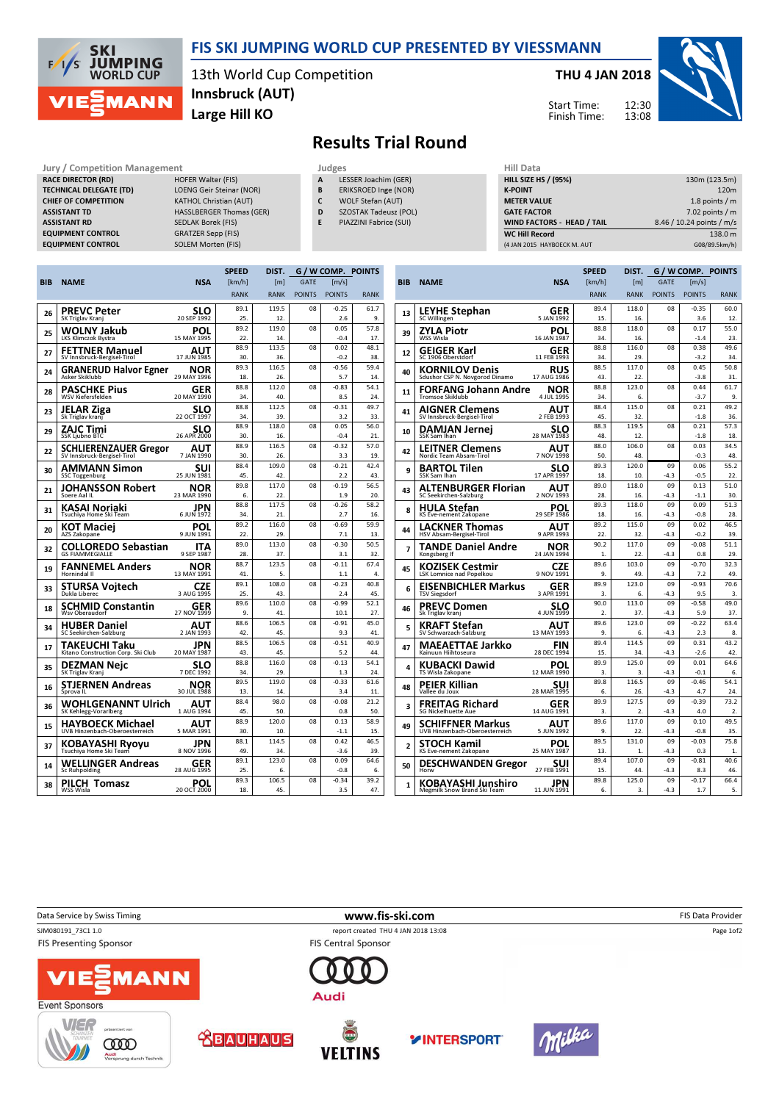

### FIS SKI JUMPING WORLD CUP PRESENTED BY VIESSMANN

13th World Cup Competition Large Hill KO Innsbruck (AUT)

### THU 4 JAN 2018





# Results Trial Round

#### Jury / Competition Management **Judges** Judges **Hill Data**<br> **RACE DIRECTOR (RD)** HOFER Walter (FIS) **A LESSER Joachim (GER)** HILL SIZE HILL SIZE H RACE DIRECTOR (RD) TECHNICAL DELEGATE (TD) LOENG Geir Steinar (NOR) CHIEF OF COMPETITION KATHOL Christian (AUT) ASSISTANT TD **HASSLBERGER Thomas (GER)** ASSISTANT RD SEDLAK Borek (FIS) EQUIPMENT CONTROL GRATZER Sepp (FIS)

EQUIPMENT CONTROL SOLEM Morten (FIS)

- LESSER Joachim (GER)
- B ERIKSROED Inge (NOR)
- C WOLF Stefan (AUT)
- D SZOSTAK Tadeusz (POL)
- E PIAZZINI Fabrice (SUI)

| niil Vata                   |                           |
|-----------------------------|---------------------------|
| <b>HILL SIZE HS / (95%)</b> | 130m (123.5m)             |
| <b>K-POINT</b>              | 120 <sub>m</sub>          |
| <b>METER VALUE</b>          | 1.8 points $/m$           |
| <b>GATE FACTOR</b>          | $7.02$ points / m         |
| WIND FACTORS - HEAD / TAIL  | 8.46 / 10.24 points / m/s |
| <b>WC Hill Record</b>       | 138.0 m                   |
| (4 JAN 2015 HAYBOECK M. AUT | G08/89.5km/h)             |
|                             |                           |

|            |                                                           |                    | <b>SPEED</b> | DIST.            |               | G / W COMP. POINTS  |             |
|------------|-----------------------------------------------------------|--------------------|--------------|------------------|---------------|---------------------|-------------|
| <b>BIB</b> | <b>NAME</b>                                               | <b>NSA</b>         | [km/h]       | [ <sub>m</sub> ] | <b>GATE</b>   | $\lceil m/s \rceil$ |             |
|            |                                                           |                    | <b>RANK</b>  | <b>RANK</b>      | <b>POINTS</b> | <b>POINTS</b>       | <b>RANK</b> |
|            | <b>PREVC Peter</b>                                        | SLO                | 89.1         | 119.5            | 08            | $-0.25$             | 61.7        |
| 26         | SK Triglav Kranj                                          | 20 SEP 1992        | 25.          | 12.              |               | 2.6                 | 9.          |
| 25         | WOLNY Jakub                                               | POL                | 89.2         | 119.0            | 08            | 0.05                | 57.8        |
|            | <b>LKS Klimczok Bystra</b>                                | 15 MAY 1995        | 22.          | 14.              |               | $-0.4$              | 17.         |
| 27         | <b>FETTNER Manuel</b>                                     | AUT                | 88.9         | 113.5            | 08            | 0.02                | 48.1        |
|            | SV Innsbruck-Bergisel-Tirol                               | 17 JUN 1985        | 30.          | 36.              |               | $-0.2$              | 38.         |
| 24         | <b>GRANERUD Halvor Egner</b><br>Asker Skiklubb            | NOR<br>29 MAY 1996 | 89.3<br>18.  | 116.5<br>26.     | 08            | $-0.56$<br>5.7      | 59.4<br>14. |
|            | PASCHKE Pius                                              | GER                | 88.8         | 112.0            | 08            | $-0.83$             | 54.1        |
| 28         | WSV Kiefersfelden                                         | 20 MAY 1990        | 34.          | 40.              |               | 8.5                 | 24          |
| 23         | JELAR Ziga                                                | slo                | 88.8         | 112.5            | 08            | $-0.31$             | 49.7        |
|            | Sk Triglav krani                                          | 22 OCT 1997        | 34.          | 39.              |               | 3.2                 | 33.         |
| 29         | ZAJC Timi                                                 | SLO                | 88.9         | 118.0            | 08            | 0.05                | 56.0        |
|            | <b>SSK Ljubno BTC</b>                                     | 26 APR 2000        | 30.          | 16.              |               | $-0.4$              | 21.         |
| 22         | <b>SCHLIERENZAUER Gregor</b>                              | AUT                | 88.9         | 116.5            | 08            | $-0.32$             | 57.0        |
|            | SV Innsbruck-Bergisel-Tirol                               | 7 JAN 1990         | 30.          | 26.              |               | 3.3                 | 19.         |
| 30         | AMMANN Simon                                              | suı                | 88.4         | 109.0            | 08            | $-0.21$             | 42.4        |
|            | <b>SSC Toggenburg</b>                                     | 25 JUN 1981        | 45.          | 42.              |               | 2.2                 | 43.         |
| 21         | JOHANSSON Robert                                          | NOR                | 89.8         | 117.0            | 08            | $-0.19$             | 56.5        |
|            | Soere Aal IL                                              | 23 MAR 1990        | 6.           | 22.              |               | 1.9                 | 20.         |
| 31         | KASAI Noriaki<br>Tsuchiya Home Ski Team                   | JPN<br>6 JUN 1972  | 88.8<br>34.  | 117.5<br>21.     | 08            | $-0.26$<br>2.7      | 58.2<br>16. |
|            |                                                           |                    | 89.2         | 116.0            | 08            | $-0.69$             | 59.9        |
| 20         | KOT Maciei<br>AZS Zakopane                                | POL<br>9 JUN 1991  | 22           | 29.              |               | 7.1                 | 13          |
| 32         |                                                           |                    | 89.0         | 113.0            | 08            | $-0.30$             | 50.5        |
|            | COLLOREDO Sebastian<br><b>GS FIAMMEGIALLE</b>             | ITA<br>9 SEP 1987  | 28.          | 37.              |               | 3.1                 | 32.         |
|            | <b>FANNEMEL Anders</b>                                    | NOR                | 88.7         | 123.5            | 08            | $-0.11$             | 67.4        |
| 19         | Hornindal II                                              | 13 MAY 1991        | 41.          | 5.               |               | 1.1                 | 4.          |
|            | STURSA Voitech                                            | CZE                | 89.1         | 108.0            | 08            | $-0.23$             | 40.8        |
| 33         | Dukla Liberec                                             | 3 AUG 1995         | 25.          | 43.              |               | 2.4                 | 45.         |
| 18         | SCHMID Constantin                                         | GER                | 89.6         | 110.0            | 08            | $-0.99$             | 52.1        |
|            | Wsv Oberaudorf                                            | 27 NOV 1999        | 9.           | 41.              |               | 10.1                | 27.         |
| 34         | <b>HUBER Daniel</b>                                       | AUT                | 88.6         | 106.5            | 08            | $-0.91$             | 45.0        |
|            | SC Seekirchen-Salzburg                                    | 2 JAN 1993         | 42.          | 45.              |               | 9.3                 | 41.         |
| 17         | TAKEUCHI Taku                                             | JPN                | 88.5         | 106.5            | 08            | $-0.51$             | 40.9        |
|            | Kitano Construction Corp. Ski Club                        | 20 MAY 1987        | 43.          | 45.              |               | 5.2                 | 44.         |
| 35         | DEZMAN Neic                                               | SLO                | 88.8         | 116.0            | 08            | $-0.13$             | 54.1        |
|            | SK Triglav Kranj                                          | 7 DEC 1992         | 34.<br>89.5  | 29.<br>119.0     | 08            | 1.3<br>$-0.33$      | 24          |
| 16         | <b>STJERNEN Andreas</b><br>Sprova <sub>IL</sub>           | NOR<br>30 JUL 1988 | 13.          | 14.              |               | 3.4                 | 61.6<br>11. |
|            |                                                           |                    | 88.4         | 98.0             | 08            | $-0.08$             | 21.2        |
| 36         | WOHLGENANNT Ulrich<br>SK Kehlegg-Vorarlberg               | AUT<br>1 AUG 1994  | 45.          | 50.              |               | 0.8                 | 50.         |
|            |                                                           |                    | 88.9         | 120.0            | 08            | 0.13                | 58.9        |
| 15         | <b>HAYBOECK Michael</b><br>UVB Hinzenbach-Oberoesterreich | AUT<br>5 MAR 1991  | 30.          | 10.              |               | $-1.1$              | 15.         |
|            | KOBAYASHI Ryoyu                                           | JPN                | 88.1         | 114.5            | 08            | 0.42                | 46.5        |
| 37         | Tsuchiya Home Ski Team                                    | 8 NOV 1996         | 49.          | 34.              |               | $-3.6$              | 39.         |
|            | WELLINGER Andreas                                         | GER                | 89.1         | 123.0            | 08            | 0.09                | 64.6        |
| 14         | <b>Sc Ruhpolding</b>                                      | 28 AUG 1995        | 25.          | 6.               |               | $-0.8$              | 6.          |
|            | PILCH<br><b>Tomasz</b>                                    | POL                | 89.3         | 106.5            | 08            | $-0.34$             | 39.2        |
| 38         | WSS Wisla                                                 | 20 OCT 2000        | 18.          | 45.              |               | 3.5                 | 47.         |
|            |                                                           |                    |              |                  |               |                     |             |

ung durch Te

|                |                                                   |                    | <b>SPEED</b> | DIST.            |                |                                                                                                                                                                                                                                                                                                                                                                                                                                      |                |
|----------------|---------------------------------------------------|--------------------|--------------|------------------|----------------|--------------------------------------------------------------------------------------------------------------------------------------------------------------------------------------------------------------------------------------------------------------------------------------------------------------------------------------------------------------------------------------------------------------------------------------|----------------|
| BIB            | <b>NAME</b>                                       | <b>NSA</b>         | [km/h]       | [ <sub>m</sub> ] | <b>GATE</b>    | [m/s]                                                                                                                                                                                                                                                                                                                                                                                                                                |                |
|                |                                                   |                    | <b>RANK</b>  | <b>RANK</b>      | <b>POINTS</b>  | <b>POINTS</b>                                                                                                                                                                                                                                                                                                                                                                                                                        | <b>RANK</b>    |
| 13             | LEYHE Stephan                                     | GER                | 89.4         | 118.0            | 08             | $-0.35$                                                                                                                                                                                                                                                                                                                                                                                                                              | 60.0           |
|                | SC Willingen                                      | 5 JAN 1992         | 15.          | 16.              |                |                                                                                                                                                                                                                                                                                                                                                                                                                                      | 12.            |
| 39             | ZYLA Piotr                                        | POL                | 88.8         | 118.0            | 08             |                                                                                                                                                                                                                                                                                                                                                                                                                                      | 55.0           |
|                | WSS Wisla                                         | 16 JAN 1987        | 34.          | 16.              |                |                                                                                                                                                                                                                                                                                                                                                                                                                                      | 23.            |
| 12             | GEIGER Karl<br>SC 1906 Oberstdorf                 | GER<br>11 FEB 1993 | 88.8<br>34.  | 116.0<br>29.     | 08             | $-3.2$                                                                                                                                                                                                                                                                                                                                                                                                                               | 49.6<br>34.    |
| 40             | KORNILOV Denis<br>Sdushor CSP N. Novgorod Dinamo  | RUS<br>17 AUG 1986 | 88.5<br>43.  | 117.0<br>22.     | 08             | 0.45                                                                                                                                                                                                                                                                                                                                                                                                                                 | 50.8<br>31.    |
|                |                                                   |                    | 88.8         | 123.0            | 0 <sub>8</sub> |                                                                                                                                                                                                                                                                                                                                                                                                                                      | 61.7           |
| 11             | FORFANG Johann Andre<br><b>Tromsoe Skiklubb</b>   | NOR<br>4 JUL 1995  | 34.          | 6.               |                | $-3.7$                                                                                                                                                                                                                                                                                                                                                                                                                               | 9.             |
| 41             | AIGNER Clemens                                    | AUT                | 88.4         | 115.0            | 08             | 0.21                                                                                                                                                                                                                                                                                                                                                                                                                                 | 49.2           |
|                | SV Innsbruck-Bergisel-Tirol                       | 2 FEB 1993         | 45.          | 32.              |                | $-1.8$                                                                                                                                                                                                                                                                                                                                                                                                                               | 36.            |
| 10             | DAMJAN Jernei                                     | SLO                | 88.3         | 119.5            | 08             | G / W COMP. POINTS<br>3.6<br>0.17<br>$-1.4$<br>0.38<br>$-3.8$<br>0.44<br>0.21<br>$-1.8$<br>0.03<br>$-0.3$<br>0.06<br>$-0.5$<br>0.13<br>$-4.3$<br>$-1.1$<br>09<br>0.09<br>$-0.8$<br>0.02<br>$-0.2$<br>$-0.08$<br>0.8<br>$-0.70$<br>7.2<br>$-0.93$<br>9.5<br>$-0.58$<br>5.9<br>$-0.22$<br>2.3<br>0.31<br>$-2.6$<br>0.01<br>$-0.1$<br>$-0.46$<br>4.7<br>$-0.39$<br>4.0<br>0.10<br>$-0.8$<br>$-0.03$<br>0.3<br>$-0.81$<br>8.3<br>$-0.17$ | 57.3           |
|                | SSK Sam Ihan                                      | 28 MAY 1983        | 48.          | 12.              |                |                                                                                                                                                                                                                                                                                                                                                                                                                                      | 18.            |
| 42             | LEITNER Clemens                                   | AUT                | 88.0         | 106.0            | 08             |                                                                                                                                                                                                                                                                                                                                                                                                                                      | 34.5           |
|                | Nordic Team Absam-Tirol                           | 7 NOV 1998         | 50.          | 48               |                |                                                                                                                                                                                                                                                                                                                                                                                                                                      | 48.            |
| 9              | BARTOL Tilen                                      | SLO                | 89.3         | 120.0            | 09             |                                                                                                                                                                                                                                                                                                                                                                                                                                      | 55.2           |
|                | SSK Sam Ihan                                      | 17 APR 1997        | 18.          | 10.              | $-4.3$         |                                                                                                                                                                                                                                                                                                                                                                                                                                      | 22.            |
| 43             | <b>ALTENBURGER Florian</b>                        | AUT<br>2 NOV 1993  | 89.0         | 118.0            | 09             |                                                                                                                                                                                                                                                                                                                                                                                                                                      | 51.0           |
|                | SC Seekirchen-Salzburg                            |                    | 28.<br>89.3  | 16.<br>118.0     |                | 1.7                                                                                                                                                                                                                                                                                                                                                                                                                                  | 30.<br>51.3    |
| 8              | HULA Stefan<br>KS Eve-nement Zakopane             | POL<br>29 SEP 1986 | 18.          | 16.              | $-4.3$         |                                                                                                                                                                                                                                                                                                                                                                                                                                      | 28.            |
|                |                                                   |                    | 89.2         | 115.0            | 09             |                                                                                                                                                                                                                                                                                                                                                                                                                                      | 46.5           |
| 44             | LACKNER Thomas<br><b>HSV Absam-Bergisel-Tirol</b> | AUT<br>9 APR 1993  | 22.          | 32.              | $-4.3$         |                                                                                                                                                                                                                                                                                                                                                                                                                                      | 39.            |
|                | <b>TANDE Daniel Andre</b>                         | NOR                | 90.2         | 117.0            | 09             |                                                                                                                                                                                                                                                                                                                                                                                                                                      | 51.1           |
| 7              | Kongsberg If                                      | 24 JAN 1994        | 1.           | 22.              | $-4.3$         |                                                                                                                                                                                                                                                                                                                                                                                                                                      | 29.            |
| 45             | KOZISEK Cestmir                                   | CZE                | 89.6         | 103.0            | 09             |                                                                                                                                                                                                                                                                                                                                                                                                                                      | 32.3           |
|                | <b>LSK Lomnice nad Popelkou</b>                   | 9 NOV 1991         | 9.           | 49.              | $-4.3$         |                                                                                                                                                                                                                                                                                                                                                                                                                                      | 49.            |
| 6              | EISENBICHLER Markus                               | GER                | 89.9         | 123.0            | 09             |                                                                                                                                                                                                                                                                                                                                                                                                                                      | 70.6           |
|                | TSV Siegsdorf                                     | 3 APR 1991         | 3.           | 6.               | $-4.3$         |                                                                                                                                                                                                                                                                                                                                                                                                                                      | 3.             |
| 46             | PREVC Domen                                       | SLO                | 90.0         | 113.0            | 09             |                                                                                                                                                                                                                                                                                                                                                                                                                                      | 49.0           |
|                | Sk Triglav kranj                                  | 4 JUN 1999         | 2.           | 37.              | $-4.3$         |                                                                                                                                                                                                                                                                                                                                                                                                                                      | 37.            |
| 5              | KRAFT Stefan<br>SV Schwarzach-Salzburg            | AUT<br>13 MAY 1993 | 89.6<br>9.   | 123.0<br>6.      | 09<br>$-4.3$   |                                                                                                                                                                                                                                                                                                                                                                                                                                      | 63.4<br>8.     |
|                |                                                   |                    | 89.4         | 114.5            | 09             |                                                                                                                                                                                                                                                                                                                                                                                                                                      | 43.2           |
| 47             | MAEAETTAE Jarkko<br>Kainuun Hiihtoseura           | FIN<br>28 DEC 1994 | 15.          | 34.              | $-4.3$         |                                                                                                                                                                                                                                                                                                                                                                                                                                      | 42.            |
|                |                                                   |                    | 89.9         | 125.0            | 09             |                                                                                                                                                                                                                                                                                                                                                                                                                                      | 64.6           |
| 4              | KUBACKI Dawid<br>TS Wisla Zakopane                | POL<br>12 MAR 1990 | 3.           | 3.               | $-4.3$         |                                                                                                                                                                                                                                                                                                                                                                                                                                      | 6.             |
|                | PEIER Killian                                     | SUI                | 89.8         | 116.5            | 09             |                                                                                                                                                                                                                                                                                                                                                                                                                                      | 54.1           |
| 48             | Vallee du Joux                                    | 28 MAR 1995        | 6.           | 26.              | $-4.3$         |                                                                                                                                                                                                                                                                                                                                                                                                                                      | 24.            |
| 3              | FREITAG Richard                                   | GER                | 89.9         | 127.5            | 09             |                                                                                                                                                                                                                                                                                                                                                                                                                                      | 73.2           |
|                | <b>SG Nickelhuette Aue</b>                        | 14 AUG 1991        | 3.           | $\mathfrak{D}$ . | $-4.3$         |                                                                                                                                                                                                                                                                                                                                                                                                                                      | $\mathfrak{D}$ |
| 49             | SCHIFFNER Markus                                  | AUT                | 89.6         | 117.0            | 09             |                                                                                                                                                                                                                                                                                                                                                                                                                                      | 49.5           |
|                | UVB Hinzenbach-Oberoesterreich                    | 5 JUN 1992         | 9.           | 22.              | $-4.3$         |                                                                                                                                                                                                                                                                                                                                                                                                                                      | 35.            |
| $\overline{2}$ | STOCH Kamil                                       | POL                | 89.5         | 131.0            | 09             |                                                                                                                                                                                                                                                                                                                                                                                                                                      | 75.8           |
|                | KS Eve-nement Zakopane                            | 25 MAY 1987        | 13.          | 1.               | $-4.3$         |                                                                                                                                                                                                                                                                                                                                                                                                                                      | 1.             |
| 50             | <b>DESCHWANDEN Gregor</b>                         | suı                | 89.4         | 107.0            | 09             |                                                                                                                                                                                                                                                                                                                                                                                                                                      | 40.6           |
|                | Horw                                              | 27 FEB 1991        | 15.          | 44.              | $-4.3$         |                                                                                                                                                                                                                                                                                                                                                                                                                                      | 46.            |
| 1              | KOBAYASHI Junshiro                                | JPN                | 89.8         | 125.0            | 09             |                                                                                                                                                                                                                                                                                                                                                                                                                                      | 66.4           |
|                | Megmilk Snow Brand Ski Team                       | 11 JUN 1991        | 6.           | 3.               | $-4.3$         |                                                                                                                                                                                                                                                                                                                                                                                                                                      | 5.             |



**VELTINS**